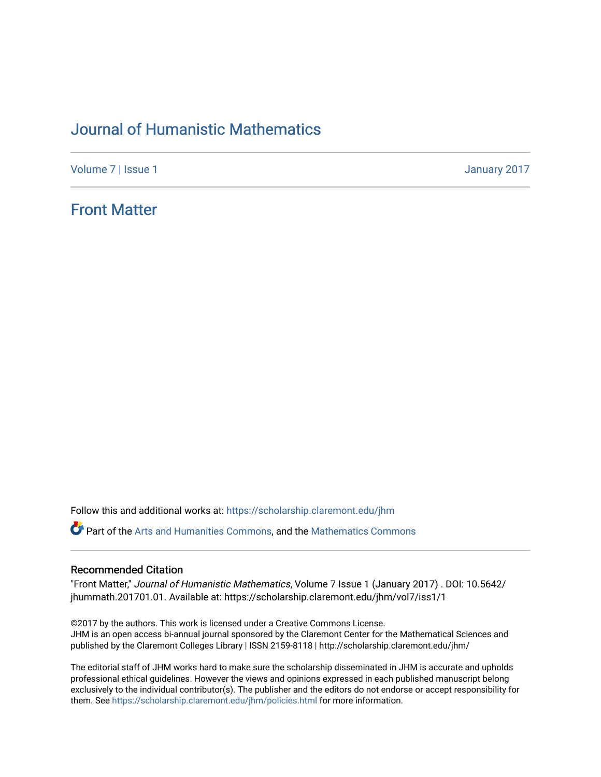## [Journal of Humanistic Mathematics](https://scholarship.claremont.edu/jhm)

[Volume 7](https://scholarship.claremont.edu/jhm/vol7) | [Issue 1](https://scholarship.claremont.edu/jhm/vol7/iss1) January 2017

## [Front Matter](https://scholarship.claremont.edu/jhm/vol7/iss1/1)

Follow this and additional works at: [https://scholarship.claremont.edu/jhm](https://scholarship.claremont.edu/jhm?utm_source=scholarship.claremont.edu%2Fjhm%2Fvol7%2Fiss1%2F1&utm_medium=PDF&utm_campaign=PDFCoverPages)

*C* Part of the [Arts and Humanities Commons,](http://network.bepress.com/hgg/discipline/438?utm_source=scholarship.claremont.edu%2Fjhm%2Fvol7%2Fiss1%2F1&utm_medium=PDF&utm_campaign=PDFCoverPages) and the Mathematics Commons

## Recommended Citation

"Front Matter," Journal of Humanistic Mathematics, Volume 7 Issue 1 (January 2017) . DOI: 10.5642/ jhummath.201701.01. Available at: https://scholarship.claremont.edu/jhm/vol7/iss1/1

©2017 by the authors. This work is licensed under a Creative Commons License. JHM is an open access bi-annual journal sponsored by the Claremont Center for the Mathematical Sciences and published by the Claremont Colleges Library | ISSN 2159-8118 | http://scholarship.claremont.edu/jhm/

The editorial staff of JHM works hard to make sure the scholarship disseminated in JHM is accurate and upholds professional ethical guidelines. However the views and opinions expressed in each published manuscript belong exclusively to the individual contributor(s). The publisher and the editors do not endorse or accept responsibility for them. See<https://scholarship.claremont.edu/jhm/policies.html> for more information.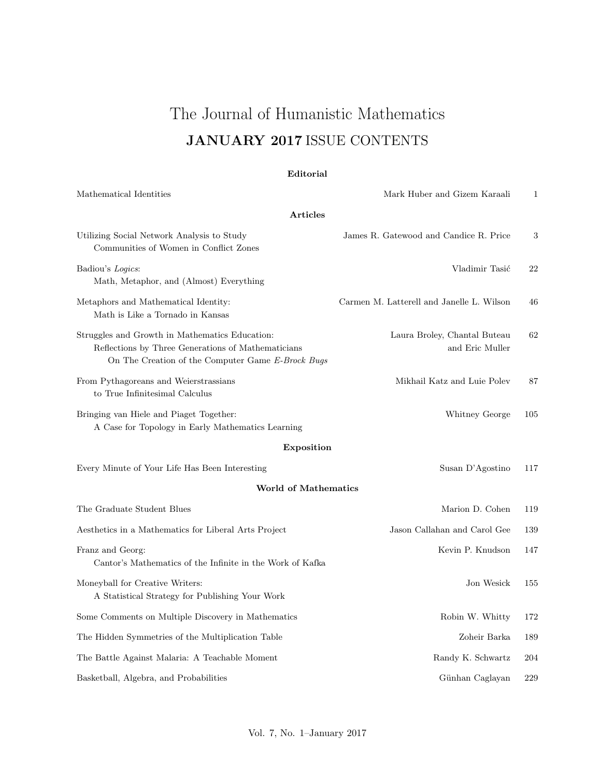# The Journal of Humanistic Mathematics JANUARY 2017 ISSUE CONTENTS

## Editorial

| Mathematical Identities                                                                                                                                   | Mark Huber and Gizem Karaali                    | 1   |
|-----------------------------------------------------------------------------------------------------------------------------------------------------------|-------------------------------------------------|-----|
| <b>Articles</b>                                                                                                                                           |                                                 |     |
| Utilizing Social Network Analysis to Study<br>Communities of Women in Conflict Zones                                                                      | James R. Gatewood and Candice R. Price          | 3   |
| Badiou's Logics:<br>Math, Metaphor, and (Almost) Everything                                                                                               | Vladimir Tasić                                  | 22  |
| Metaphors and Mathematical Identity:<br>Math is Like a Tornado in Kansas                                                                                  | Carmen M. Latterell and Janelle L. Wilson       | 46  |
| Struggles and Growth in Mathematics Education:<br>Reflections by Three Generations of Mathematicians<br>On The Creation of the Computer Game E-Brock Bugs | Laura Broley, Chantal Buteau<br>and Eric Muller | 62  |
| From Pythagoreans and Weierstrassians<br>to True Infinitesimal Calculus                                                                                   | Mikhail Katz and Luie Polev                     | 87  |
| Bringing van Hiele and Piaget Together:<br>A Case for Topology in Early Mathematics Learning                                                              | Whitney George                                  | 105 |
| Exposition                                                                                                                                                |                                                 |     |
| Every Minute of Your Life Has Been Interesting                                                                                                            | Susan D'Agostino                                | 117 |
| <b>World of Mathematics</b>                                                                                                                               |                                                 |     |
| The Graduate Student Blues                                                                                                                                | Marion D. Cohen                                 | 119 |
| Aesthetics in a Mathematics for Liberal Arts Project                                                                                                      | Jason Callahan and Carol Gee                    | 139 |
| Franz and Georg:<br>Cantor's Mathematics of the Infinite in the Work of Kafka                                                                             | Kevin P. Knudson                                | 147 |
| Moneyball for Creative Writers:<br>A Statistical Strategy for Publishing Your Work                                                                        | Jon Wesick                                      | 155 |
| Some Comments on Multiple Discovery in Mathematics                                                                                                        | Robin W. Whitty                                 | 172 |
| The Hidden Symmetries of the Multiplication Table                                                                                                         | Zoheir Barka                                    | 189 |
| The Battle Against Malaria: A Teachable Moment                                                                                                            | Randy K. Schwartz                               | 204 |
| Basketball, Algebra, and Probabilities                                                                                                                    | Günhan Caglayan                                 | 229 |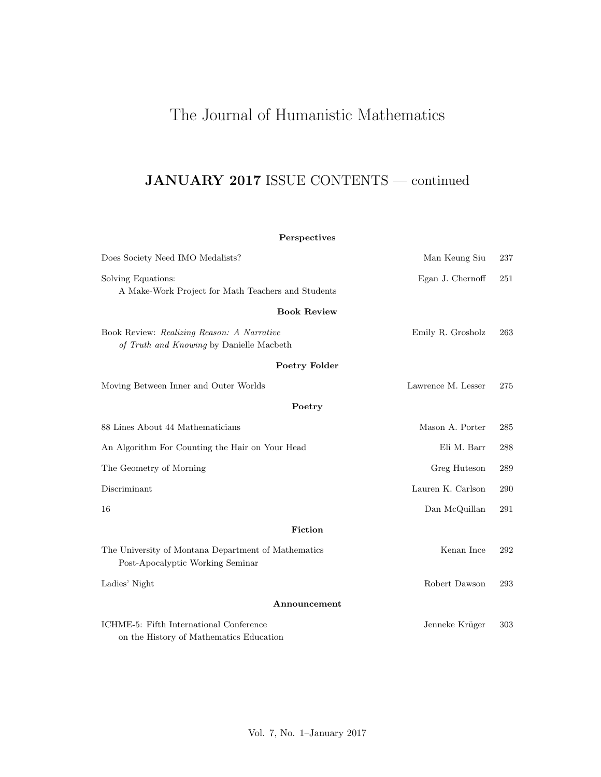# The Journal of Humanistic Mathematics

# JANUARY 2017 ISSUE CONTENTS — continued

## Perspectives

| Does Society Need IMO Medalists?                                                        | Man Keung Siu      | 237 |
|-----------------------------------------------------------------------------------------|--------------------|-----|
| Solving Equations:<br>A Make-Work Project for Math Teachers and Students                | Egan J. Chernoff   | 251 |
| <b>Book Review</b>                                                                      |                    |     |
| Book Review: Realizing Reason: A Narrative<br>of Truth and Knowing by Danielle Macbeth  | Emily R. Grosholz  | 263 |
| Poetry Folder                                                                           |                    |     |
| Moving Between Inner and Outer Worlds                                                   | Lawrence M. Lesser | 275 |
| Poetry                                                                                  |                    |     |
| 88 Lines About 44 Mathematicians                                                        | Mason A. Porter    | 285 |
| An Algorithm For Counting the Hair on Your Head                                         | Eli M. Barr        | 288 |
| The Geometry of Morning                                                                 | Greg Huteson       | 289 |
| Discriminant                                                                            | Lauren K. Carlson  | 290 |
| 16                                                                                      | Dan McQuillan      | 291 |
| Fiction                                                                                 |                    |     |
| The University of Montana Department of Mathematics<br>Post-Apocalyptic Working Seminar | Kenan Ince         | 292 |
| Ladies' Night                                                                           | Robert Dawson      | 293 |
| Announcement                                                                            |                    |     |
| ICHME-5: Fifth International Conference<br>on the History of Mathematics Education      | Jenneke Krüger     | 303 |